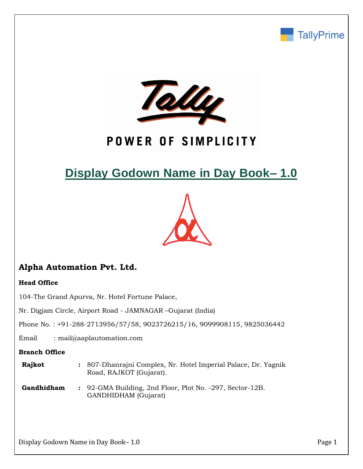



## POWER OF SIMPLICITY

# **Display Godown Name in Day Book– 1.0**



## **Alpha Automation Pvt. Ltd.**

#### **Head Office**

104-The Grand Apurva, Nr. Hotel Fortune Palace,

Nr. Digjam Circle, Airport Road - JAMNAGAR –Gujarat (India)

Phone No. : +91-288-2713956/57/58, 9023726215/16, 9099908115, 9825036442

Email : mail@aaplautomation.com

#### **Branch Office**

- **Rajkot :** 807-Dhanrajni Complex, Nr. Hotel Imperial Palace, Dr. Yagnik Road, RAJKOT (Gujarat).
- **Gandhidham :** 92-GMA Building, 2nd Floor, Plot No. -297, Sector-12B. GANDHIDHAM (Gujarat)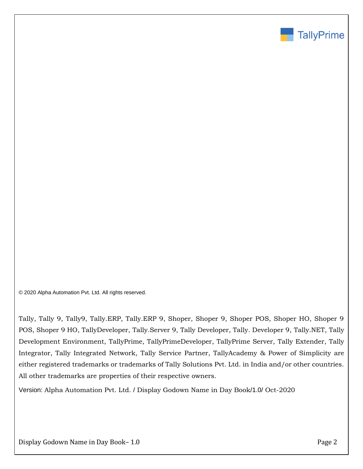

© 2020 Alpha Automation Pvt. Ltd. All rights reserved.

Tally, Tally 9, Tally9, Tally.ERP, Tally.ERP 9, Shoper, Shoper 9, Shoper POS, Shoper HO, Shoper 9 POS, Shoper 9 HO, TallyDeveloper, Tally.Server 9, Tally Developer, Tally. Developer 9, Tally.NET, Tally Development Environment, TallyPrime, TallyPrimeDeveloper, TallyPrime Server, Tally Extender, Tally Integrator, Tally Integrated Network, Tally Service Partner, TallyAcademy & Power of Simplicity are either registered trademarks or trademarks of Tally Solutions Pvt. Ltd. in India and/or other countries. All other trademarks are properties of their respective owners.

Version: Alpha Automation Pvt. Ltd. / Display Godown Name in Day Book/1.0/ Oct-2020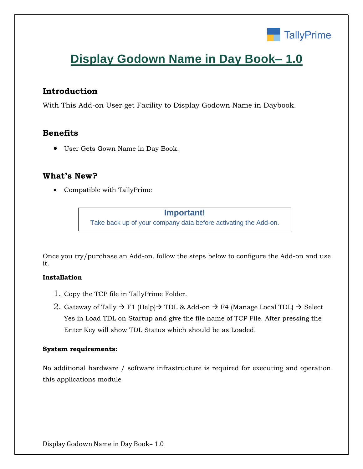

## **Display Godown Name in Day Book– 1.0**

### **Introduction**

With This Add-on User get Facility to Display Godown Name in Daybook.

## **Benefits**

• User Gets Gown Name in Day Book.

### **What's New?**

• Compatible with TallyPrime

**Important!** Take back up of your company data before activating the Add-on.

Once you try/purchase an Add-on, follow the steps below to configure the Add-on and use it.

#### **Installation**

- 1. Copy the TCP file in TallyPrime Folder.
- 2. Gateway of Tally  $\rightarrow$  F1 (Help) $\rightarrow$  TDL & Add-on  $\rightarrow$  F4 (Manage Local TDL)  $\rightarrow$  Select Yes in Load TDL on Startup and give the file name of TCP File. After pressing the Enter Key will show TDL Status which should be as Loaded.

#### **System requirements:**

No additional hardware / software infrastructure is required for executing and operation this applications module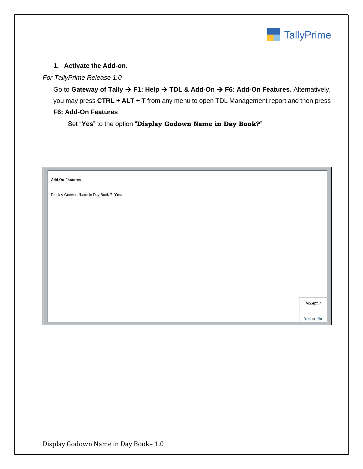

#### **1. Activate the Add-on.**

#### *For TallyPrime Release 1.0*

Go to **Gateway of Tally** → **F1: Help** → **TDL & Add-On** → **F6: Add-On Features**. Alternatively, you may press **CTRL + ALT + T** from any menu to open TDL Management report and then press **F6: Add-On Features**

Set "**Yes**" to the option "**Display Godown Name in Day Book?**"

| <b>Add-On Features</b>                |  |           |
|---------------------------------------|--|-----------|
| Display Godwon Name in Day Book ? Yes |  |           |
|                                       |  |           |
|                                       |  |           |
|                                       |  |           |
|                                       |  |           |
|                                       |  |           |
|                                       |  |           |
|                                       |  | Accept ?  |
|                                       |  | Yes or No |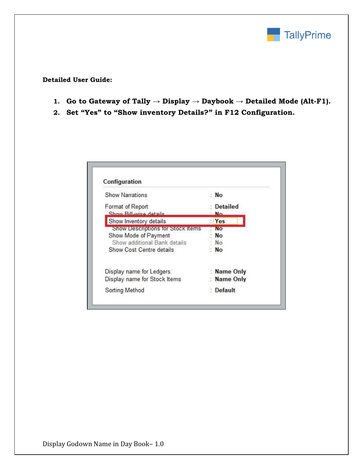

**Detailed User Guide:**

- **1. Go to Gateway of Tally → Display → Daybook → Detailed Mode (Alt-F1).**
- **2. Set "Yes" to "Show inventory Details?" in F12 Configuration.**

| Configuration                     |                 |
|-----------------------------------|-----------------|
| <b>Show Narrations</b>            | : No            |
| Format of Report                  | <b>Detailed</b> |
| Show Bill-wise details            | No.             |
| Show Inventory details            | Yes             |
| Show Descriptions for Stock Items | <b>NO</b>       |
| Show Mode of Payment              | N <sub>O</sub>  |
| Show additional Bank details      | N <sub>O</sub>  |
| Show Cost Centre details          | <b>No</b>       |
| Display name for Ledgers          | Name Only       |
| Display name for Stock Items      | Name Only       |
| Sorting Method                    | Default         |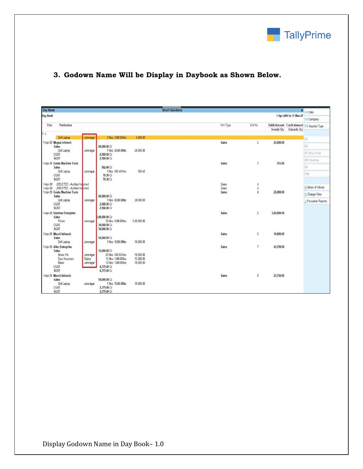

### **3. Godown Name Will be Display in Daybook as Shown Below.**

| Day Book<br><b>Smart Solutions</b> |                                                             |          |                                            |                        |                                                                         |                           |  |
|------------------------------------|-------------------------------------------------------------|----------|--------------------------------------------|------------------------|-------------------------------------------------------------------------|---------------------------|--|
| <b>Day Book</b>                    |                                                             |          |                                            |                        | 1-Apr-2000 to 31-Mar-21                                                 | × F2:Date<br>F3: Company  |  |
| Particulars<br>Date                |                                                             |          |                                            |                        | Vch No.<br>Vch Type                                                     |                           |  |
|                                    |                                                             |          |                                            |                        | Debit Amount Credit Amount F4: Voucher Type<br>Inwards Qty Outwards Qty |                           |  |
| $\triangle$ 09                     |                                                             |          |                                            |                        |                                                                         |                           |  |
|                                    | Dell Laptop                                                 | Jamnagar | 2 Nos 2,000.00/Nos                         | 4,000.00               |                                                                         | F <sub>5</sub>            |  |
|                                    | 1-Apr-20 Megna Infotech<br>Sales                            |          | 20,000.00 Cr                               |                        | Sales<br>$\overline{2}$<br>25,000.00                                    | F6                        |  |
|                                    | Dell Laptop                                                 | Jamnagar | 1 Nos 20.000.00/Nos                        | 20,000.00              |                                                                         |                           |  |
|                                    | CGST                                                        |          | 2,500.00 Cr                                |                        |                                                                         | F7: Show Profit           |  |
|                                    | <b>SGST</b>                                                 |          | 2,500.00 Cr                                |                        |                                                                         | F8: Columnar              |  |
|                                    | 1-Apr-20 Geeta Machine Tools                                |          |                                            |                        | 703.00<br>Sales<br>3                                                    | F9                        |  |
|                                    | Sales<br>Dell Laptop                                        | Jamnagar | 562.40 Cr<br>1 Nos 562.40/Nos              | 562.40                 |                                                                         |                           |  |
|                                    | CGST                                                        |          | 70.30 Cr                                   |                        |                                                                         | F10                       |  |
|                                    | SGST                                                        |          | 70.30 Cr                                   |                        |                                                                         |                           |  |
| 1-Apr-20                           | (DELETED - Audited Voncher)                                 |          |                                            |                        | Sales<br>4                                                              | <b>B: Basis of Values</b> |  |
| 1-Apr-20                           | (DELETED - Audited Volcher)<br>1-Apr-20 Geeta Machine Tools |          |                                            |                        | Sales<br>$\boldsymbol{4}$<br>Sales<br>$\overline{4}$<br>25,000.00       |                           |  |
|                                    | Sales                                                       |          | 20,000.00 Cr                               |                        |                                                                         | H: Change View            |  |
|                                    | Dell Laptop                                                 | Jamnagar | 1 Nos 20,000,00/Nos                        | 20,000.00              |                                                                         | : Exception Reports       |  |
|                                    | CGST                                                        |          | 2,500.00 Cr                                |                        |                                                                         |                           |  |
|                                    | <b>SGST</b>                                                 |          | 2,500.00 Cr                                |                        |                                                                         |                           |  |
|                                    | 1-Apr-20 Darshan Enterprise<br>Sales                        |          | .40.000.00 Cr                              |                        | Sales<br>5<br>3,00,000.00                                               |                           |  |
|                                    | Printer                                                     | Jamnagar | 30 Nos 8,000,00/Nos                        | 2,40,000.00            |                                                                         |                           |  |
|                                    | CGST                                                        |          | 30,000.00 Cr                               |                        |                                                                         |                           |  |
|                                    | <b>SGST</b>                                                 |          | 30,000.00 Cr                               |                        |                                                                         |                           |  |
|                                    | 1-Apr-20 Maruti Infotech<br><b>Sales</b>                    |          | 10,000.00 Cr                               |                        | <b>Sales</b><br>6<br>10,000.00                                          |                           |  |
|                                    | Dell Laptop                                                 | Jamnagar | 1 Nos 10,000.00/Nos                        | 10,000.00              |                                                                         |                           |  |
|                                    | 1-Apr-20 Allec Enterprise                                   |          |                                            |                        | 43,750.00<br><b>Sales</b><br>$\overline{7}$                             |                           |  |
|                                    | <b>Sales</b>                                                |          | 35,000.00 Cr                               |                        |                                                                         |                           |  |
|                                    | <b>Brass Pin</b>                                            | Jamnagar | 20 Nos 500.00/Nos                          | 10,000.00              |                                                                         |                           |  |
|                                    | Door Knockers<br>Bales                                      | Rajkot   | 15 Nos 1,000.00/Nos<br>10 Nos 1,000.00/Nos | 15,000.00<br>10,000.00 |                                                                         |                           |  |
|                                    | CGST                                                        | Jamnagar | 4,375.00 Cr                                |                        |                                                                         |                           |  |
|                                    | <b>SGST</b>                                                 |          | 4.375.00 Cr                                |                        |                                                                         |                           |  |
|                                    | 1-Apr-20 Maruti Infotech                                    |          |                                            |                        | 8<br>23,750.00<br>Sales                                                 |                           |  |
|                                    | Sales                                                       |          | 19,000.00 Cr                               |                        |                                                                         |                           |  |
|                                    | Dell Laptop                                                 | Jamnagar | 1 Nos 19,000,00/Nos                        | 19,000.00              |                                                                         |                           |  |
|                                    | CGST<br><b>SGST</b>                                         |          | 2,375.00 Cr<br>2,375.00 Cr                 |                        |                                                                         |                           |  |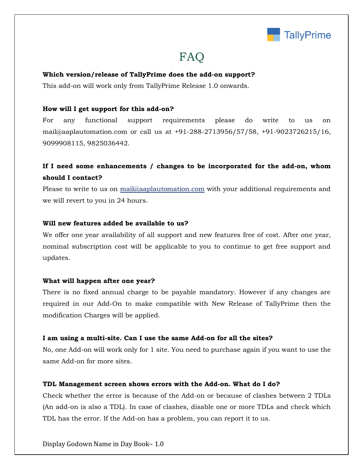

## FAQ

#### **Which version/release of TallyPrime does the add-on support?**

This add-on will work only from TallyPrime Release 1.0 onwards.

#### **How will I get support for this add-on?**

For any functional support requirements please do write to us on mail@aaplautomation.com or call us at +91-288-2713956/57/58, +91-9023726215/16, 9099908115, 9825036442.

## **If I need some enhancements / changes to be incorporated for the add-on, whom should I contact?**

Please to write to us on mail@aaplautomation.com with your additional requirements and we will revert to you in 24 hours.

#### **Will new features added be available to us?**

We offer one year availability of all support and new features free of cost. After one year, nominal subscription cost will be applicable to you to continue to get free support and updates.

#### **What will happen after one year?**

There is no fixed annual charge to be payable mandatory. However if any changes are required in our Add-On to make compatible with New Release of TallyPrime then the modification Charges will be applied.

#### **I am using a multi-site. Can I use the same Add-on for all the sites?**

No, one Add-on will work only for 1 site. You need to purchase again if you want to use the same Add-on for more sites.

#### **TDL Management screen shows errors with the Add-on. What do I do?**

Check whether the error is because of the Add-on or because of clashes between 2 TDLs (An add-on is also a TDL). In case of clashes, disable one or more TDLs and check which TDL has the error. If the Add-on has a problem, you can report it to us.